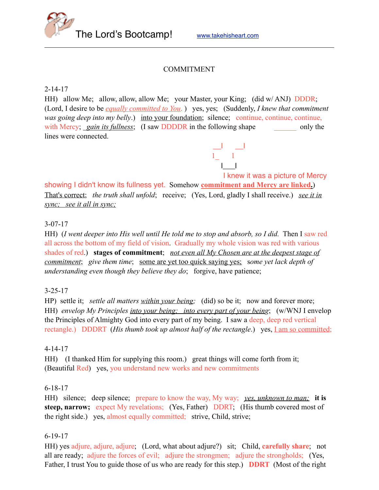

### COMMITMENT

2-14-17

HH) allow Me; allow, allow, allow Me; your Master, your King; (did w/ ANJ) DDDR; (Lord, I desire to be *equally committed to You*. ) yes, yes; (Suddenly, *I knew that commitment was going deep into my belly.*) into your foundation; silence; continue, continue, continue, with Mercy; *gain its fullness*; (I saw DDDDR in the following shape only the lines were connected.

 I knew it was a picture of Mercy showing I didn't know its fullness yet. Somehow **commitment and Mercy are linked.**)

That's correct; *the truth shall unfold*; receive; (Yes, Lord, gladly I shall receive.) *see it in sync; see it all in sync;*

 \_\_l \_\_l  $1_1$  is a large structure of  $1_1$  in  $1_2$ l\_\_\_l

### 3-07-17

HH) (*I went deeper into His well until He told me to stop and absorb, so I did.* Then I saw red all across the bottom of my field of vision. Gradually my whole vision was red with various shades of red.) **stages of commitment**; *not even all My Chosen are at the deepest stage of commitment*; *give them time*; some are yet too quick saying yes; s*ome yet lack depth of understanding even though they believe they do*; forgive, have patience;

### 3-25-17

HP) settle it; *settle all matters within your being*; (did) so be it; now and forever more; HH) *envelop My Principles into your being; into every part of your being*; (w/WNJ I envelop the Principles of Almighty God into every part of my being. I saw a deep, deep red vertical rectangle.) DDDRT (*His thumb took up almost half of the rectangle*.) yes, <u>I am so committed</u>;

### 4-14-17

HH) (I thanked Him for supplying this room.) great things will come forth from it; (Beautiful Red) yes, you understand new works and new commitments

### 6-18-17

HH) silence; deep silence; prepare to know the way, My way; *yes, unknown to man;* **it is steep, narrow;** expect My revelations; (Yes, Father) DDRT; (His thumb covered most of the right side.) yes, almost equally committed; strive, Child, strive;

### 6-19-17

HH) yes adjure, adjure, adjure; (Lord, what about adjure?) sit; Child, **carefully share**; not all are ready; adjure the forces of evil; adjure the strongmen; adjure the strongholds; (Yes, Father, I trust You to guide those of us who are ready for this step.) **DDRT** (Most of the right